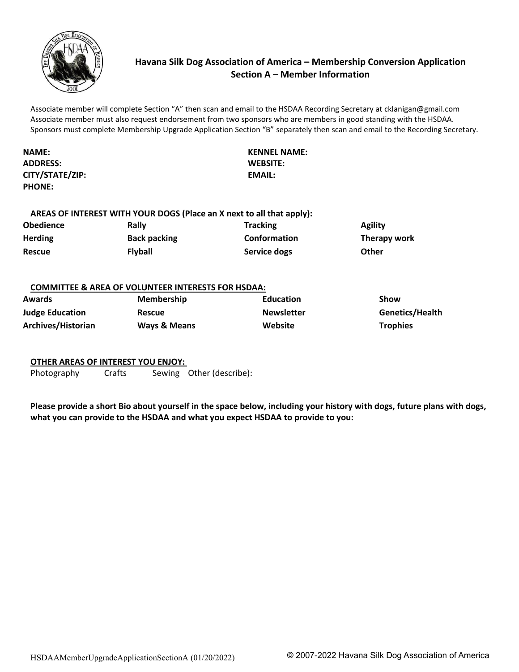

# **Havana Silk Dog Association of America – Membership Conversion Application Section A – Member Information**

Associate member will complete Section "A" then scan and email to the HSDAA Recording Secretary at cklanigan@gmail.com Associate member must also request endorsement from two sponsors who are members in good standing with the HSDAA. Sponsors must complete Membership Upgrade Application Section "B" separately then scan and email to the Recording Secretary.

**NAME: KENNEL NAME: ADDRESS: CITY/STATE/ZIP: PHONE:** 

**WEBSITE: EMAIL:** 

## **AREAS OF INTEREST WITH YOUR DOGS (Place an X next to all that apply):**

| <b>Obedience</b> | Rally               | <b>Tracking</b>     | <b>Agility</b> |
|------------------|---------------------|---------------------|----------------|
| <b>Herding</b>   | <b>Back packing</b> | <b>Conformation</b> | Therapy work   |
| <b>Rescue</b>    | <b>Flyball</b>      | Service dogs        | <b>Other</b>   |

#### **COMMITTEE & AREA OF VOLUNTEER INTERESTS FOR HSDAA:**

| <b>Awards</b>          | <b>Membership</b>       | <b>Education</b>  | Show            |
|------------------------|-------------------------|-------------------|-----------------|
| <b>Judge Education</b> | <b>Rescue</b>           | <b>Newsletter</b> | Genetics/Health |
| Archives/Historian     | <b>Ways &amp; Means</b> | Website           | <b>Trophies</b> |

## **OTHER AREAS OF INTEREST YOU ENJOY:**

Photography Crafts Sewing Other (describe):

**Please provide a short Bio about yourself in the space below, including your history with dogs, future plans with dogs, what you can provide to the HSDAA and what you expect HSDAA to provide to you:**